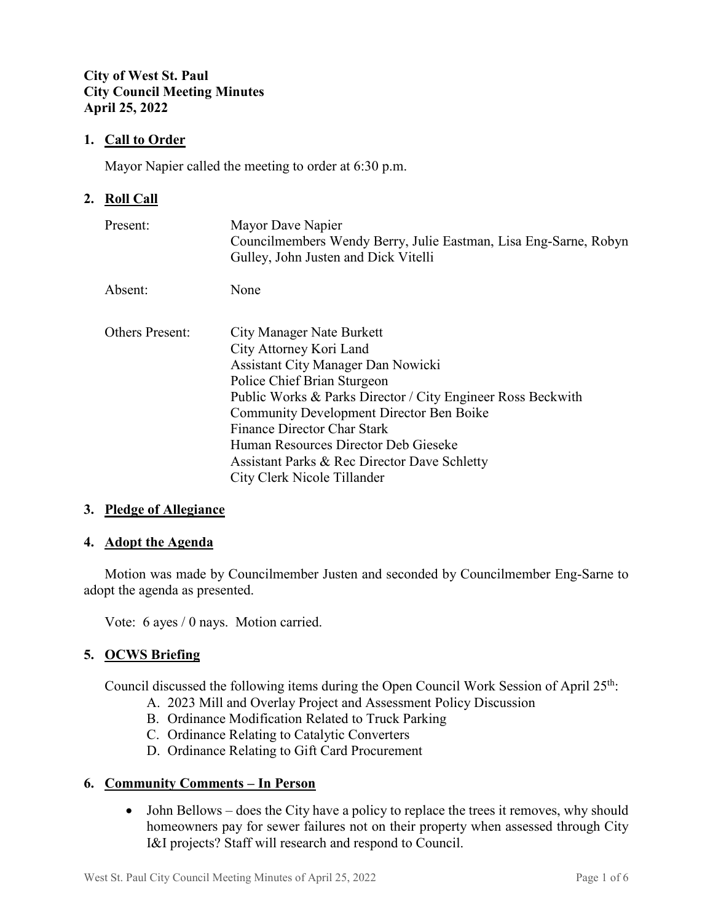## **City of West St. Paul City Council Meeting Minutes April 25, 2022**

## **1. Call to Order**

Mayor Napier called the meeting to order at 6:30 p.m.

## **2. Roll Call**

| Present:               | Mayor Dave Napier<br>Councilmembers Wendy Berry, Julie Eastman, Lisa Eng-Sarne, Robyn<br>Gulley, John Justen and Dick Vitelli                                                                                                                                                                                                                                                                            |
|------------------------|----------------------------------------------------------------------------------------------------------------------------------------------------------------------------------------------------------------------------------------------------------------------------------------------------------------------------------------------------------------------------------------------------------|
| Absent:                | None                                                                                                                                                                                                                                                                                                                                                                                                     |
| <b>Others Present:</b> | City Manager Nate Burkett<br>City Attorney Kori Land<br><b>Assistant City Manager Dan Nowicki</b><br>Police Chief Brian Sturgeon<br>Public Works & Parks Director / City Engineer Ross Beckwith<br><b>Community Development Director Ben Boike</b><br>Finance Director Char Stark<br>Human Resources Director Deb Gieseke<br>Assistant Parks & Rec Director Dave Schletty<br>City Clerk Nicole Tillander |

#### **3. Pledge of Allegiance**

#### **4. Adopt the Agenda**

Motion was made by Councilmember Justen and seconded by Councilmember Eng-Sarne to adopt the agenda as presented.

Vote: 6 ayes / 0 nays. Motion carried.

#### **5. OCWS Briefing**

Council discussed the following items during the Open Council Work Session of April 25<sup>th</sup>:

- A. 2023 Mill and Overlay Project and Assessment Policy Discussion
- B. Ordinance Modification Related to Truck Parking
- C. Ordinance Relating to Catalytic Converters
- D. Ordinance Relating to Gift Card Procurement

#### **6. Community Comments – In Person**

• John Bellows – does the City have a policy to replace the trees it removes, why should homeowners pay for sewer failures not on their property when assessed through City I&I projects? Staff will research and respond to Council.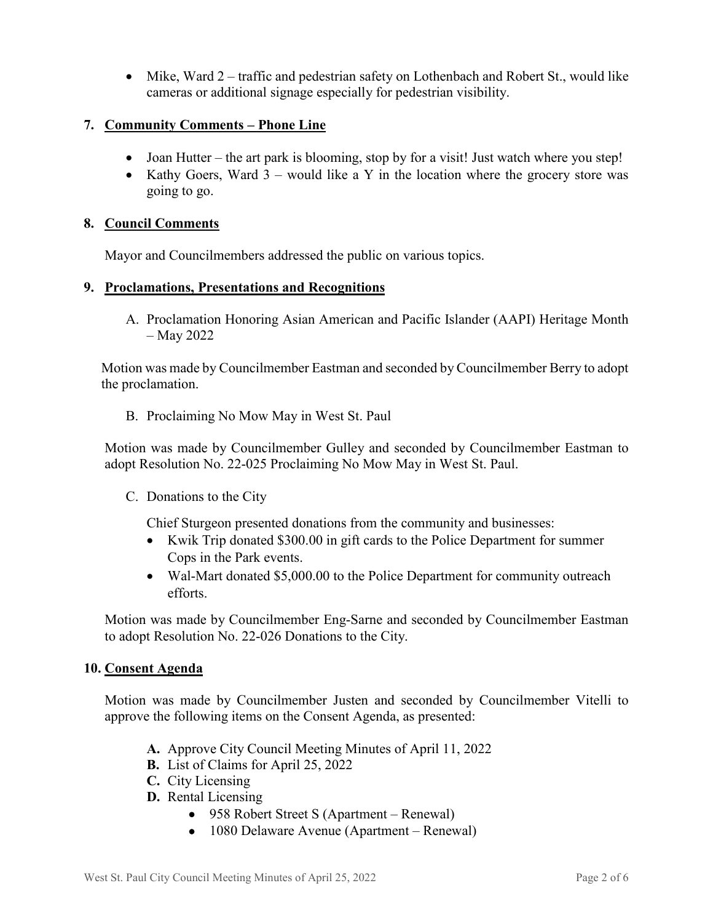• Mike, Ward 2 – traffic and pedestrian safety on Lothenbach and Robert St., would like cameras or additional signage especially for pedestrian visibility.

# **7. Community Comments – Phone Line**

- Joan Hutter the art park is blooming, stop by for a visit! Just watch where you step!
- Kathy Goers, Ward  $3$  would like a Y in the location where the grocery store was going to go.

#### **8. Council Comments**

Mayor and Councilmembers addressed the public on various topics.

#### **9. Proclamations, Presentations and Recognitions**

A. Proclamation Honoring Asian American and Pacific Islander (AAPI) Heritage Month – May 2022

 Motion was made by Councilmember Eastman and seconded by Councilmember Berry to adopt the proclamation.

B. Proclaiming No Mow May in West St. Paul

Motion was made by Councilmember Gulley and seconded by Councilmember Eastman to adopt Resolution No. 22-025 Proclaiming No Mow May in West St. Paul.

C. Donations to the City

Chief Sturgeon presented donations from the community and businesses:

- Kwik Trip donated \$300.00 in gift cards to the Police Department for summer Cops in the Park events.
- Wal-Mart donated \$5,000.00 to the Police Department for community outreach efforts.

Motion was made by Councilmember Eng-Sarne and seconded by Councilmember Eastman to adopt Resolution No. 22-026 Donations to the City.

#### **10. Consent Agenda**

Motion was made by Councilmember Justen and seconded by Councilmember Vitelli to approve the following items on the Consent Agenda, as presented:

- **A.** Approve City Council Meeting Minutes of April 11, 2022
- **B.** List of Claims for April 25, 2022
- **C.** City Licensing
- **D.** Rental Licensing
	- 958 Robert Street S (Apartment Renewal)
	- 1080 Delaware Avenue (Apartment Renewal)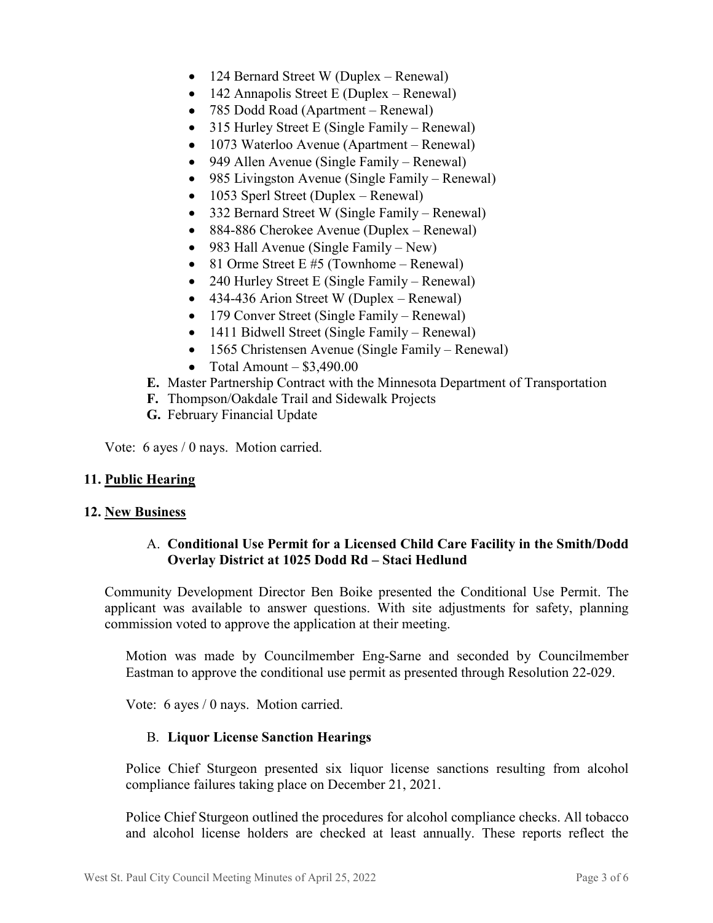- 124 Bernard Street W (Duplex Renewal)
- 142 Annapolis Street E (Duplex Renewal)
- 785 Dodd Road (Apartment Renewal)
- 315 Hurley Street E (Single Family Renewal)
- 1073 Waterloo Avenue (Apartment Renewal)
- 949 Allen Avenue (Single Family Renewal)
- 985 Livingston Avenue (Single Family Renewal)
- 1053 Sperl Street (Duplex Renewal)
- 332 Bernard Street W (Single Family Renewal)
- 884-886 Cherokee Avenue (Duplex Renewal)
- 983 Hall Avenue (Single Family New)
- 81 Orme Street E #5 (Townhome Renewal)
- 240 Hurley Street E (Single Family Renewal)
- 434-436 Arion Street W (Duplex Renewal)
- 179 Conver Street (Single Family Renewal)
- 1411 Bidwell Street (Single Family Renewal)
- 1565 Christensen Avenue (Single Family Renewal)
- Total Amount  $$3,490.00$
- **E.** Master Partnership Contract with the Minnesota Department of Transportation
- **F.** Thompson/Oakdale Trail and Sidewalk Projects
- **G.** February Financial Update

Vote: 6 ayes / 0 nays. Motion carried.

#### **11. Public Hearing**

#### **12. New Business**

## A. **Conditional Use Permit for a Licensed Child Care Facility in the Smith/Dodd Overlay District at 1025 Dodd Rd – Staci Hedlund**

Community Development Director Ben Boike presented the Conditional Use Permit. The applicant was available to answer questions. With site adjustments for safety, planning commission voted to approve the application at their meeting.

Motion was made by Councilmember Eng-Sarne and seconded by Councilmember Eastman to approve the conditional use permit as presented through Resolution 22-029.

Vote: 6 ayes / 0 nays. Motion carried.

#### B. **Liquor License Sanction Hearings**

Police Chief Sturgeon presented six liquor license sanctions resulting from alcohol compliance failures taking place on December 21, 2021.

Police Chief Sturgeon outlined the procedures for alcohol compliance checks. All tobacco and alcohol license holders are checked at least annually. These reports reflect the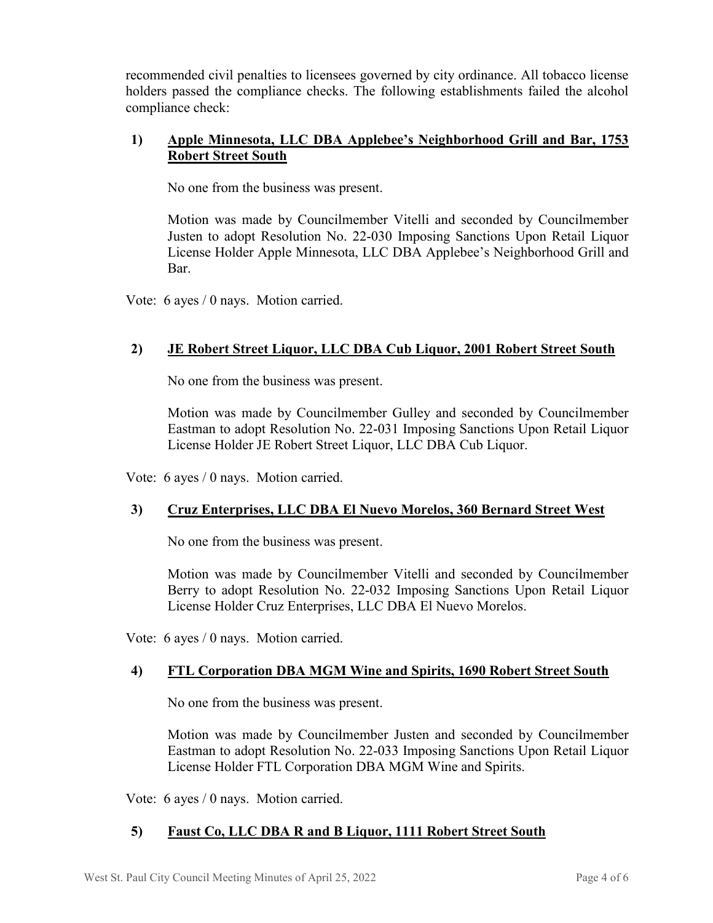recommended civil penalties to licensees governed by city ordinance. All tobacco license holders passed the compliance checks. The following establishments failed the alcohol compliance check:

# **1) Apple Minnesota, LLC DBA Applebee's Neighborhood Grill and Bar, 1753 Robert Street South**

No one from the business was present.

Motion was made by Councilmember Vitelli and seconded by Councilmember Justen to adopt Resolution No. 22-030 Imposing Sanctions Upon Retail Liquor License Holder Apple Minnesota, LLC DBA Applebee's Neighborhood Grill and Bar.

Vote: 6 ayes / 0 nays. Motion carried.

# **2) JE Robert Street Liquor, LLC DBA Cub Liquor, 2001 Robert Street South**

No one from the business was present.

Motion was made by Councilmember Gulley and seconded by Councilmember Eastman to adopt Resolution No. 22-031 Imposing Sanctions Upon Retail Liquor License Holder JE Robert Street Liquor, LLC DBA Cub Liquor.

Vote: 6 ayes / 0 nays. Motion carried.

# **3) Cruz Enterprises, LLC DBA El Nuevo Morelos, 360 Bernard Street West**

No one from the business was present.

Motion was made by Councilmember Vitelli and seconded by Councilmember Berry to adopt Resolution No. 22-032 Imposing Sanctions Upon Retail Liquor License Holder Cruz Enterprises, LLC DBA El Nuevo Morelos.

Vote: 6 ayes / 0 nays. Motion carried.

# **4) FTL Corporation DBA MGM Wine and Spirits, 1690 Robert Street South**

No one from the business was present.

Motion was made by Councilmember Justen and seconded by Councilmember Eastman to adopt Resolution No. 22-033 Imposing Sanctions Upon Retail Liquor License Holder FTL Corporation DBA MGM Wine and Spirits.

Vote: 6 ayes / 0 nays. Motion carried.

# **5) Faust Co, LLC DBA R and B Liquor, 1111 Robert Street South**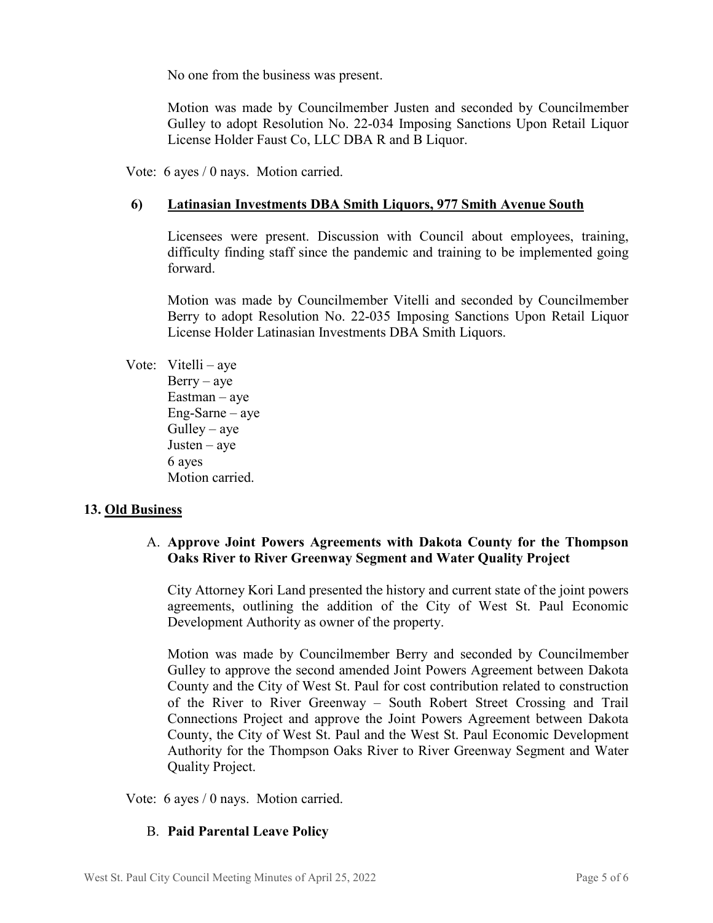No one from the business was present.

Motion was made by Councilmember Justen and seconded by Councilmember Gulley to adopt Resolution No. 22-034 Imposing Sanctions Upon Retail Liquor License Holder Faust Co, LLC DBA R and B Liquor.

Vote: 6 ayes / 0 nays. Motion carried.

## **6) Latinasian Investments DBA Smith Liquors, 977 Smith Avenue South**

Licensees were present. Discussion with Council about employees, training, difficulty finding staff since the pandemic and training to be implemented going forward.

Motion was made by Councilmember Vitelli and seconded by Councilmember Berry to adopt Resolution No. 22-035 Imposing Sanctions Upon Retail Liquor License Holder Latinasian Investments DBA Smith Liquors.

Vote: Vitelli – aye  $Berry - aye$ Eastman – aye Eng-Sarne – aye  $Gulley - aye$ Justen – aye 6 ayes Motion carried.

#### **13. Old Business**

# A. **Approve Joint Powers Agreements with Dakota County for the Thompson Oaks River to River Greenway Segment and Water Quality Project**

City Attorney Kori Land presented the history and current state of the joint powers agreements, outlining the addition of the City of West St. Paul Economic Development Authority as owner of the property.

Motion was made by Councilmember Berry and seconded by Councilmember Gulley to approve the second amended Joint Powers Agreement between Dakota County and the City of West St. Paul for cost contribution related to construction of the River to River Greenway – South Robert Street Crossing and Trail Connections Project and approve the Joint Powers Agreement between Dakota County, the City of West St. Paul and the West St. Paul Economic Development Authority for the Thompson Oaks River to River Greenway Segment and Water Quality Project.

Vote: 6 ayes / 0 nays. Motion carried.

# B. **Paid Parental Leave Policy**